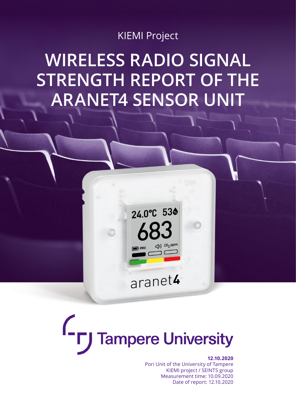### KIEMI Project

# **WIRELESS RADIO SIGNAL STRENGTH REPORT OF THE ARANET4 SENSOR UNIT**



# $\mathsf{C}_{\mathsf{F}}$ **Tampere University**

#### **[12.10.2020](https://www.tuni.fi/en)**

Pori Unit of the University of Tampere KIEMI project / SEINTS group Measurement time: 10.09.2020 Date of report: 12.10.2020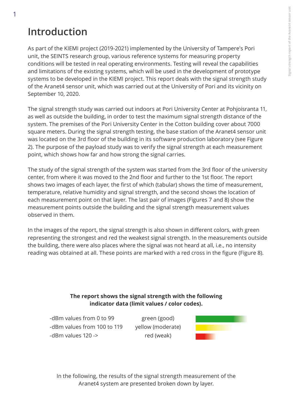# **Introduction**

As part of the KIEMI project (2019-2021) implemented by the University of Tampere's Pori unit, the SEINTS research group, various reference systems for measuring property conditions will be tested in real operating environments. Testing will reveal the capabilities and limitations of the existing systems, which will be used in the development of prototype systems to be developed in the KIEMI project. This report deals with the signal strength study of the Aranet4 sensor unit, which was carried out at the University of Pori and its vicinity on September 10, 2020.

The signal strength study was carried out indoors at Pori University Center at Pohjoisranta 11, as well as outside the building, in order to test the maximum signal strength distance of the system. The premises of the Pori University Center in the Cotton building cover about 7000 square meters. During the signal strength testing, the base station of the Aranet4 sensor unit was located on the 3rd floor of the building in its software production laboratory (see Figure 2). The purpose of the payload study was to verify the signal strength at each measurement point, which shows how far and how strong the signal carries.

The study of the signal strength of the system was started from the 3rd floor of the university center, from where it was moved to the 2nd floor and further to the 1st floor. The report shows two images of each layer, the first of which (tabular) shows the time of measurement, temperature, relative humidity and signal strength, and the second shows the location of each measurement point on that layer. The last pair of images (Figures 7 and 8) show the measurement points outside the building and the signal strength measurement values observed in them.

In the images of the report, the signal strength is also shown in different colors, with green representing the strongest and red the weakest signal strength. In the measurements outside the building, there were also places where the signal was not heard at all, i.e., no intensity reading was obtained at all. These points are marked with a red cross in the figure (Figure 8).

#### **The report shows the signal strength with the following indicator data (limit values / color codes).**

-dBm values from 0 to 99 -dBm values from 100 to 119 -dBm values 120 ->

green (good) yellow (moderate) red (weak)



In the following, the results of the signal strength measurement of the Aranet4 system are presented broken down by layer.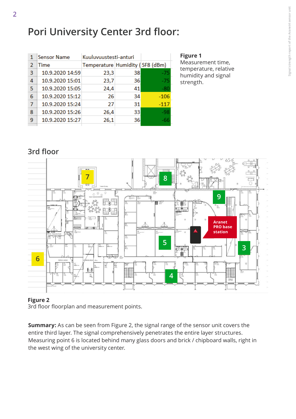# **Pori University Center 3rd floor:**

|   | <b>Sensor Name</b> | Kuuluvuustesti-anturi           |    |        |
|---|--------------------|---------------------------------|----|--------|
| 2 | Time               | Temperature Humidity (SF8 (dBm) |    |        |
| 3 | 10.9.2020 14:59    | 23,3                            | 38 | $-75$  |
| 4 | 10.9.2020 15:01    | 23,7                            | 36 | $-75$  |
| 5 | 10.9.2020 15:05    | 24,4                            | 41 | $-80$  |
| 6 | 10.9.2020 15:12    | 26                              | 34 | $-106$ |
| 7 | 10.9.2020 15:24    | 27                              | 31 | $-117$ |
| 8 | 10.9.2020 15:26    | 26,4                            | 33 | -98    |
| 9 | 10.9.2020 15:27    | 26,1                            | 36 | -66    |
|   |                    |                                 |    |        |

**Figure 1**

Measurement time, temperature, relative humidity and signal strength.

### **3rd floor**



#### **Figure 2**

3rd floor floorplan and measurement points.

**Summary:** As can be seen from Figure 2, the signal range of the sensor unit covers the entire third layer. The signal comprehensively penetrates the entire layer structures. Measuring point 6 is located behind many glass doors and brick / chipboard walls, right in the west wing of the university center.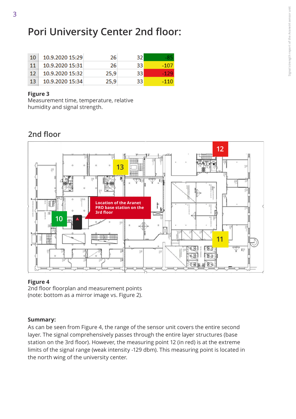## **Pori University Center 2nd floor:**

| 10  | 10.9.2020 15:29 | 26   | 321 |       |
|-----|-----------------|------|-----|-------|
| 11  | 10.9.2020 15:31 | 26   | 33  | -107  |
| -12 | 10.9.2020 15:32 | 25,9 | 331 | -1291 |
| 13  | 10.9.2020 15:34 | 25,9 | 33. | -110  |

#### **Figure 3**

Measurement time, temperature, relative humidity and signal strength.

### **2nd floor**



#### **Figure 4**

2nd floor floorplan and measurement points (note: bottom as a mirror image vs. Figure 2).

#### **Summary:**

As can be seen from Figure 4, the range of the sensor unit covers the entire second layer. The signal comprehensively passes through the entire layer structures (base station on the 3rd floor). However, the measuring point 12 (in red) is at the extreme limits of the signal range (weak intensity -129 dbm). This measuring point is located in the north wing of the university center.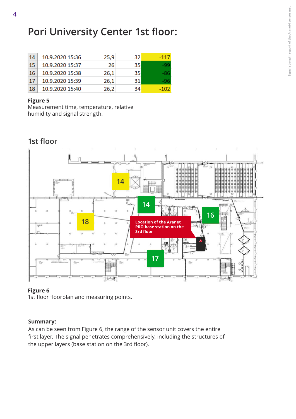## **Pori University Center 1st floor:**

| 14 | 10.9.2020 15:36 | 25,9 | 32 | $-117$ |
|----|-----------------|------|----|--------|
| 15 | 10.9.2020 15:37 | 26   | 35 | -99    |
| 16 | 10.9.2020 15:38 | 26,1 | 35 |        |
| 17 | 10.9.2020 15:39 | 26,1 | 31 | -96    |
| 18 | 10.9.2020 15:40 | 26.2 | 34 | -102   |

#### **Figure 5**

Measurement time, temperature, relative humidity and signal strength.



### **Figure 6**

1st floor floorplan and measuring points.

#### **Summary:**

As can be seen from Figure 6, the range of the sensor unit covers the entire first layer. The signal penetrates comprehensively, including the structures of the upper layers (base station on the 3rd floor).

### **1st floor**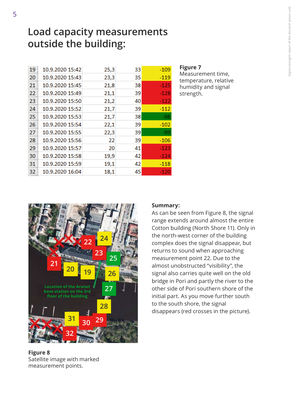### **Load capacity measurements outside the building:**

| 19 | 10.9.2020 15:42 | 25,3 | 33 | $-109$ |
|----|-----------------|------|----|--------|
| 20 | 10.9.2020 15:43 | 23,3 | 35 | $-119$ |
| 21 | 10.9.2020 15:45 | 21,8 | 38 | $-125$ |
| 22 | 10.9.2020 15:49 | 21,1 | 39 | -128   |
| 23 | 10.9.2020 15:50 | 21,2 | 40 | -122   |
| 24 | 10.9.2020 15:52 | 21,7 | 39 | $-112$ |
| 25 | 10.9.2020 15:53 | 21,7 | 38 | $-98$  |
| 26 | 10.9.2020 15:54 | 22,1 | 39 | $-102$ |
| 27 | 10.9.2020 15:55 | 22,3 | 39 | -99    |
| 28 | 10.9.2020 15:56 | 22   | 39 | $-106$ |
| 29 | 10.9.2020 15:57 | 20   | 41 | $-123$ |
| 30 | 10.9.2020 15:58 | 19,9 | 42 | $-124$ |
| 31 | 10.9.2020 15:59 | 19,1 | 42 | $-118$ |
| 32 | 10.9.2020 16:04 | 18,1 | 45 | -120   |
|    |                 |      |    |        |

#### **Figure 7**

Measurement time, temperature, relative humidity and signal strength.



#### **Summary:**

As can be seen from Figure 8, the signal range extends around almost the entire Cotton building (North Shore 11). Only in the north-west corner of the building complex does the signal disappear, but returns to sound when approaching measurement point 22. Due to the almost unobstructed "visibility", the signal also carries quite well on the old bridge in Pori and partly the river to the other side of Pori southern shore of the initial part. As you move further south to the south shore, the signal disappears (red crosses in the picture).

#### **Figure 8** Satellite image with marked measurement points.